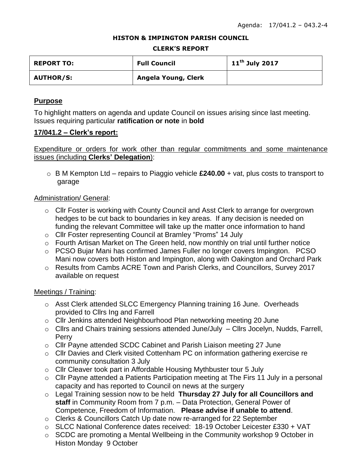#### **HISTON & IMPINGTON PARISH COUNCIL**

#### **CLERK'S REPORT**

| <b>REPORT TO:</b> | <b>Full Council</b> | $11^{\text{th}}$ July 2017 |
|-------------------|---------------------|----------------------------|
| <b>AUTHOR/S:</b>  | Angela Young, Clerk |                            |

# **Purpose**

To highlight matters on agenda and update Council on issues arising since last meeting. Issues requiring particular **ratification or note** in **bold**

# **17/041.2 – Clerk's report:**

Expenditure or orders for work other than regular commitments and some maintenance issues (including **Clerks' Delegation**):

o B M Kempton Ltd – repairs to Piaggio vehicle **£240.00** + vat, plus costs to transport to garage

# Administration/ General:

- o Cllr Foster is working with County Council and Asst Clerk to arrange for overgrown hedges to be cut back to boundaries in key areas. If any decision is needed on funding the relevant Committee will take up the matter once information to hand
- o Cllr Foster representing Council at Bramley "Proms" 14 July
- o Fourth Artisan Market on The Green held, now monthly on trial until further notice
- o PCSO Bujar Mani has confirmed James Fuller no longer covers Impington. PCSO Mani now covers both Histon and Impington, along with Oakington and Orchard Park
- o Results from Cambs ACRE Town and Parish Clerks, and Councillors, Survey 2017 available on request

# Meetings / Training:

- o Asst Clerk attended SLCC Emergency Planning training 16 June. Overheads provided to Cllrs Ing and Farrell
- o Cllr Jenkins attended Neighbourhood Plan networking meeting 20 June
- o Cllrs and Chairs training sessions attended June/July Cllrs Jocelyn, Nudds, Farrell, Perry
- o Cllr Payne attended SCDC Cabinet and Parish Liaison meeting 27 June
- o Cllr Davies and Clerk visited Cottenham PC on information gathering exercise re community consultation 3 July
- o Cllr Cleaver took part in Affordable Housing Mythbuster tour 5 July
- o Cllr Payne attended a Patients Participation meeting at The Firs 11 July in a personal capacity and has reported to Council on news at the surgery
- o Legal Training session now to be held **Thursday 27 July for all Councillors and staff** in Community Room from 7 p.m. – Data Protection, General Power of Competence, Freedom of Information. **Please advise if unable to attend**.
- o Clerks & Councillors Catch Up date now re-arranged for 22 September
- o SLCC National Conference dates received: 18-19 October Leicester £330 + VAT
- o SCDC are promoting a Mental Wellbeing in the Community workshop 9 October in Histon Monday 9 October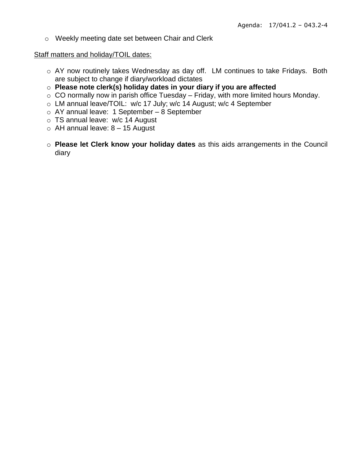o Weekly meeting date set between Chair and Clerk

### Staff matters and holiday/TOIL dates:

- o AY now routinely takes Wednesday as day off. LM continues to take Fridays. Both are subject to change if diary/workload dictates
- o **Please note clerk(s) holiday dates in your diary if you are affected**
- $\circ$  CO normally now in parish office Tuesday Friday, with more limited hours Monday.
- o LM annual leave/TOIL: w/c 17 July; w/c 14 August; w/c 4 September
- o AY annual leave: 1 September 8 September
- o TS annual leave: w/c 14 August
- $\circ$  AH annual leave:  $8 15$  August
- o **Please let Clerk know your holiday dates** as this aids arrangements in the Council diary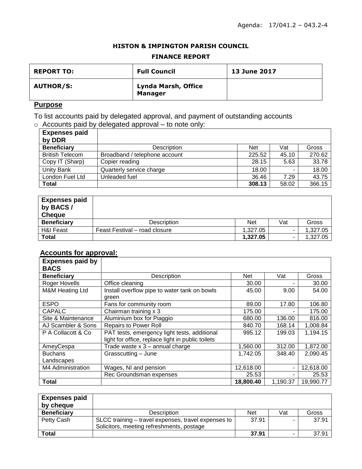### **HISTON & IMPINGTON PARISH COUNCIL**

### **FINANCE REPORT**

| <b>REPORT TO:</b> | <b>Full Council</b>                   | <b>13 June 2017</b> |
|-------------------|---------------------------------------|---------------------|
| <b>AUTHOR/S:</b>  | Lynda Marsh, Office<br><b>Manager</b> |                     |

# **Purpose**

To list accounts paid by delegated approval, and payment of outstanding accounts  $\circ$  Accounts paid by delegated approval – to note only:

| <b>Expenses paid</b>   |                               |            |       |        |
|------------------------|-------------------------------|------------|-------|--------|
| by DDR                 |                               |            |       |        |
| <b>Beneficiary</b>     | Description                   | <b>Net</b> | Vat   | Gross  |
| <b>British Telecom</b> | Broadband / telephone account | 225.52     | 45.10 | 270.62 |
| Copy IT (Sharp)        | Copier reading                | 28.15      | 5.63  | 33.78  |
| Unity Bank             | Quarterly service charge      | 18.00      |       | 18.00  |
| London Fuel Ltd        | Unleaded fuel                 | 36.46      | 7.29  | 43.75  |
| <b>Total</b>           |                               | 308.13     | 58.02 | 366.15 |

| <b>Expenses paid</b><br>by BACS/<br><b>Cheque</b> |                               |            |     |          |
|---------------------------------------------------|-------------------------------|------------|-----|----------|
| <b>Beneficiary</b>                                | <b>Description</b>            | <b>Net</b> | Vat | Gross    |
| <b>H&amp;I Feast</b>                              | Feast Festival – road closure | 1,327.05   |     | 1,327.05 |
| <b>Total</b>                                      |                               | 1,327.05   |     | 1.327.05 |

### **Accounts for approval:**

| <b>Expenses paid by</b>    |                                                   |            |          |           |
|----------------------------|---------------------------------------------------|------------|----------|-----------|
| <b>BACS</b>                |                                                   |            |          |           |
| <b>Beneficiary</b>         | Description                                       | <b>Net</b> | Vat      | Gross     |
| Roger Hovells              | Office cleaning                                   | 30.00      |          | 30.00     |
| <b>M&amp;M Heating Ltd</b> | Install overflow pipe to water tank on bowls      | 45.00      | 9.00     | 54.00     |
|                            | green                                             |            |          |           |
| <b>ESPO</b>                | Fans for community room                           | 89.00      | 17.80    | 106.80    |
| <b>CAPALC</b>              | Chairman training x 3                             | 175.00     |          | 175.00    |
| Site & Maintenance         | Aluminium box for Piaggio                         | 680.00     | 136.00   | 816.00    |
| AJ Scambler & Sons         | <b>Repairs to Power Roll</b>                      | 840.70     | 168.14   | 1,008.84  |
| P A Collacott & Co         | PAT tests, emergency light tests, additional      | 995.12     | 199.03   | 1,194.15  |
|                            | light for office, replace light in public toilets |            |          |           |
| AmeyCespa                  | Trade waste $x$ 3 - annual charge                 | 1,560.00   | 312.00   | 1,872.00  |
| <b>Buchans</b>             | Grasscutting - June                               | 1,742.05   | 348.40   | 2,090.45  |
| Landscapes                 |                                                   |            |          |           |
| M4 Administration          | Wages, NI and pension                             | 12,618.00  |          | 12,618.00 |
|                            | Rec Groundsman expenses                           | 25.53      |          | 25.53     |
| <b>Total</b>               |                                                   | 18,800.40  | 1,190.37 | 19,990.77 |

| <b>Expenses paid</b><br>by cheque |                                                                                                  |            |     |       |
|-----------------------------------|--------------------------------------------------------------------------------------------------|------------|-----|-------|
| <b>Beneficiary</b>                | <b>Description</b>                                                                               | <b>Net</b> | Vat | Gross |
| Petty Cash                        | SLCC training – travel expenses, travel expenses to<br>Solicitors, meeting refreshments, postage | 37.91      |     | 37.91 |
| Total                             |                                                                                                  | 37.91      |     | 37.91 |